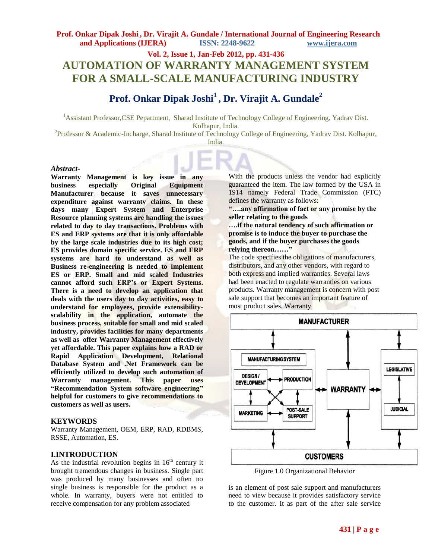# **Vol. 2, Issue 1, Jan-Feb 2012, pp. 431-436 AUTOMATION OF WARRANTY MANAGEMENT SYSTEM FOR A SMALL-SCALE MANUFACTURING INDUSTRY**

# **Prof. Onkar Dipak Joshi<sup>1</sup> , Dr. Virajit A. Gundale<sup>2</sup>**

<sup>1</sup>Assistant Professor,CSE Pepartment, Sharad Institute of Technology College of Engineering, Yadrav Dist. Kolhapur, India.

<sup>2</sup>Professor & Academic-Incharge, Sharad Institute of Technology College of Engineering, Yadrav Dist. Kolhapur, India.

#### *Abstract***-**

**Warranty Management is key issue in any business especially Original Equipment Manufacturer because it saves unnecessary expenditure against warranty claims. In these days many Expert System and Enterprise Resource planning systems are handling the issues related to day to day transactions. Problems with ES and ERP systems are that it is only affordable by the large scale industries due to its high cost; ES provides domain specific service. ES and ERP systems are hard to understand as well as Business re-engineering is needed to implement ES or ERP. Small and mid scaled Industries cannot afford such ERP's or Expert Systems. There is a need to develop an application that deals with the users day to day activities, easy to understand for employees, provide extensibilityscalability in the application, automate the business process, suitable for small and mid scaled industry, provides facilities for many departments as well as offer Warranty Management effectively yet affordable. This paper explains how a RAD or Rapid Application Development, Relational Database System and .Net Framework can be efficiently utilized to develop such automation of Warranty management. This paper uses "Recommendation System software engineering" helpful for customers to give recommendations to customers as well as users.** 

### **KEYWORDS**

Warranty Management, OEM, ERP, RAD, RDBMS, RSSE, Automation, ES.

### **I.INTRODUCTION**

As the industrial revolution begins in  $16<sup>th</sup>$  century it brought tremendous changes in business. Single part was produced by many businesses and often no single business is responsible for the product as a whole. In warranty, buyers were not entitled to receive compensation for any problem associated

With the products unless the vendor had explicitly guaranteed the item. The law formed by the USA in 1914 namely Federal Trade Commission (FTC) defines the warranty as follows:

**"….any affirmation of fact or any promise by the seller relating to the goods** 

**….if the natural tendency of such affirmation or promise is to induce the buyer to purchase the goods, and if the buyer purchases the goods relying thereon……"**

The code specifies the obligations of manufacturers, distributors, and any other vendors, with regard to both express and implied warranties. Several laws had been enacted to regulate warranties on various products. Warranty management is concern with post sale support that becomes an important feature of most product sales. Warranty



Figure 1.0 Organizational Behavior

is an element of post sale support and manufacturers need to view because it provides satisfactory service to the customer. It as part of the after sale service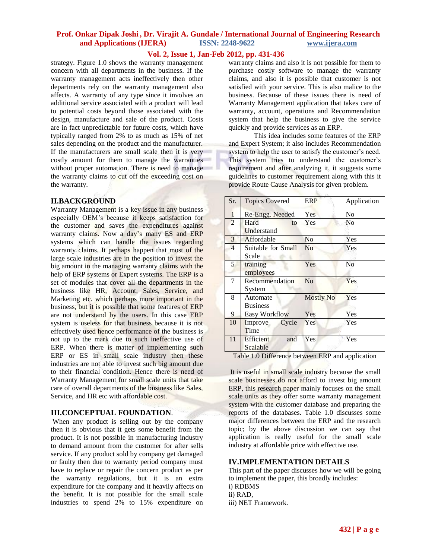## **Vol. 2, Issue 1, Jan-Feb 2012, pp. 431-436**

strategy. Figure 1.0 shows the warranty management concern with all departments in the business. If the warranty management acts ineffectively then other departments rely on the warranty management also affects. A warranty of any type since it involves an additional service associated with a product will lead to potential costs beyond those associated with the design, manufacture and sale of the product. Costs are in fact unpredictable for future costs, which have typically ranged from 2% to as much as 15% of net sales depending on the product and the manufacturer. If the manufacturers are small scale then it is very costly amount for them to manage the warranties without proper automation. There is need to manage the warranty claims to cut off the exceeding cost on the warranty.

#### **II.BACKGROUND**

Warranty Management is a key issue in any business especially OEM's because it keeps satisfaction for the customer and saves the expenditures against warranty claims. Now a day's many ES and ERP systems which can handle the issues regarding warranty claims. It perhaps happen that most of the large scale industries are in the position to invest the big amount in the managing warranty claims with the help of ERP systems or Expert systems. The ERP is a set of modules that cover all the departments in the business like HR, Account, Sales, Service, and Marketing etc. which perhaps more important in the business, but it is possible that some features of ERP are not understand by the users. In this case ERP system is useless for that business because it is not effectively used hence performance of the business is not up to the mark due to such ineffective use of ERP. When there is matter of implementing such ERP or ES in small scale industry then these industries are not able to invest such big amount due to their financial condition. Hence there is need of Warranty Management for small scale units that take care of overall departments of the business like Sales, Service, and HR etc with affordable cost.

### **III.CONCEPTUAL FOUNDATION**.

When any product is selling out by the company then it is obvious that it gets some benefit from the product. It is not possible in manufacturing industry to demand amount from the customer for after sells service. If any product sold by company get damaged or faulty then due to warranty period company must have to replace or repair the concern product as per the warranty regulations, but it is an extra expenditure for the company and it heavily affects on the benefit. It is not possible for the small scale industries to spend 2% to 15% expenditure on

warranty claims and also it is not possible for them to purchase costly software to manage the warranty claims, and also it is possible that customer is not satisfied with your service. This is also malice to the business. Because of these issues there is need of Warranty Management application that takes care of warranty, account, operations and Recommendation system that help the business to give the service quickly and provide services as an ERP.

This idea includes some features of the ERP and Expert System; it also includes Recommendation system to help the user to satisfy the customer's need. This system tries to understand the customer's requirement and after analyzing it, it suggests some guidelines to customer requirement along with this it provide Route Cause Analysis for given problem.

| Sr.            | <b>Topics Covered</b>   | <b>ERP</b>       | Application |
|----------------|-------------------------|------------------|-------------|
| $\mathbf{1}$   | Re-Engg. Needed         | Yes              | No          |
| $\overline{2}$ | Hard<br>to              | Yes              | No          |
|                | Understand              |                  |             |
| 3              | Affordable              | N <sub>0</sub>   | Yes         |
| 4              | Suitable for Small      | N <sub>o</sub>   | Yes         |
|                | Scale                   |                  |             |
| 5              | training                | Yes              | No          |
|                | employees               |                  |             |
| 7              | Recommendation          | N <sub>o</sub>   | Yes         |
|                | System                  |                  |             |
| 8              | Automate                | <b>Mostly No</b> | Yes         |
|                | <b>Business</b>         |                  |             |
| 9              | Easy Workflow           | Yes              | Yes         |
| 10             | Improve<br>Cycle        | Yes              | Yes         |
|                | Time                    |                  |             |
| 11             | <b>Efficient</b><br>and | Yes              | Yes         |
|                | Scalable                |                  |             |

Table 1.0 Difference between ERP and application

It is useful in small scale industry because the small scale businesses do not afford to invest big amount ERP, this research paper mainly focuses on the small scale units as they offer some warranty management system with the customer database and preparing the reports of the databases. Table 1.0 discusses some major differences between the ERP and the research topic; by the above discussion we can say that application is really useful for the small scale industry at affordable price with effective use.

### **IV.IMPLEMENTATION DETAILS**

This part of the paper discusses how we will be going to implement the paper, this broadly includes: i) RDBMS ii) RAD, iii) NET Framework.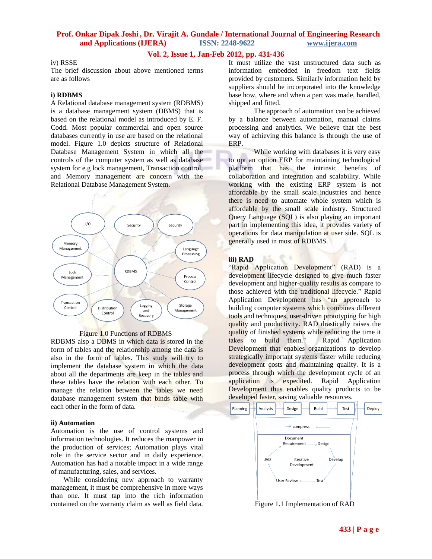## **Vol. 2, Issue 1, Jan-Feb 2012, pp. 431-436**

### iv) RSSE

The brief discussion about above mentioned terms are as follows

#### **i) RDBMS**

A Relational database management system (RDBMS) is a database management system (DBMS) that is based on the relational model as introduced by E. F. Codd. Most popular commercial and open source databases currently in use are based on the relational model. Figure 1.0 depicts structure of Relational Database Management System in which all the controls of the computer system as well as database system for e.g lock management, Transaction control, and Memory management are concern with the Relational Database Management System.



Figure 1.0 Functions of RDBMS

RDBMS also a DBMS in which data is stored in the form of tables and the relationship among the data is also in the form of tables. This study will try to implement the database system in which the data about all the departments are keep in the tables and these tables have the relation with each other. To manage the relation between the tables we need database management system that binds table with each other in the form of data.

#### **ii) Automation**

Automation is the use of [control systems](http://en.wikipedia.org/wiki/Control_system) and [information technologies.](http://en.wikipedia.org/wiki/Information_technology) It reduces the manpower in the production of services; Automation plays vital role in the service sector and in daily experience. Automation has had a notable impact in a wide range of [manufacturing,](http://en.wikipedia.org/wiki/Manufacturing) sales, and services.

While considering new approach to warranty management, it must be comprehensive in more ways than one. It must tap into the rich information contained on the warranty claim as well as field data.

It must utilize the vast unstructured data such as information embedded in freedom text fields provided by customers. Similarly information held by suppliers should be incorporated into the knowledge base how, where and when a part was made, handled, shipped and fitted.

The approach of automation can be achieved by a balance between automation, manual claims processing and analytics. We believe that the best way of achieving this balance is through the use of ERP.

While working with databases it is very easy to opt an option ERP for maintaining technological platform that has the intrinsic benefits of collaboration and integration and scalability. While working with the existing ERP system is not affordable by the small scale industries and hence there is need to automate whole system which is affordable by the small scale industry. Structured Query Language (SQL) is also playing an important part in implementing this idea, it provides variety of operations for data manipulation at user side. SQL is generally used in most of RDBMS.

#### **iii) RAD**

"Rapid Application Development" (RAD) is a development lifecycle designed to give much faster development and higher-quality results as compare to those achieved with the traditional lifecycle." Rapid Application Development has "an approach to building computer systems which combines different tools and techniques, user-driven prototyping for high quality and productivity. RAD drastically raises the quality of finished systems while reducing the time it takes to build them." Rapid Application Development that enables organizations to develop strategically important systems faster while reducing development costs and maintaining quality. It is a process through which the development cycle of an application is expedited. Rapid Application Development thus enables quality products to be developed faster, saving valuable resources.



Figure 1.1 Implementation of RAD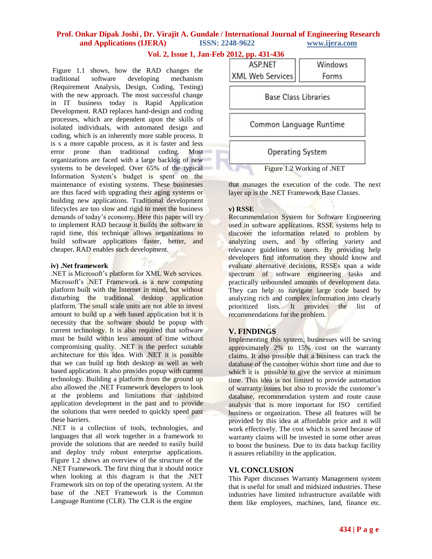# **Vol. 2, Issue 1, Jan-Feb 2012, pp. 431-436**

Figure 1.1 shows, how the RAD changes the traditional software developing mechanism (Requirement Analysis, Design, Coding, Testing) with the new approach. The most successful change in IT business today is Rapid Application Development. RAD replaces hand-design and coding processes, which are dependent upon the skills of isolated individuals, with automated design and coding, which is an inherently more stable process. It is s a more capable process, as it is faster and less error prone than traditional coding. Most organizations are faced with a large backlog of new systems to be developed. Over 65% of the typical Information System's budget is spent on the maintenance of existing systems. These businesses are thus faced with upgrading their aging systems or building new applications. Traditional development lifecycles are too slow and rigid to meet the business demands of today's economy. Here this paper will try to implement RAD because it builds the software in rapid time, this technique allows organizations to build software applications faster, better, and cheaper. RAD enables such development.

#### **iv) .Net framework**

.NET is Microsoft's platform for XML Web services. Microsoft's .NET Framework is a new computing platform built with the Internet in mind, but without disturbing the traditional desktop application platform. The small scale units are not able to invest amount to build up a web based application but it is necessity that the software should be popup with current technology. It is also required that software must be build within less amount of time without compromising quality. .NET is the perfect suitable architecture for this idea. With .NET it is possible that we can build up both desktop as well as web based application. It also provides popup with current technology. Building a platform from the ground up also allowed the .NET Framework developers to look at the problems and limitations that inhibited application development in the past and to provide the solutions that were needed to quickly speed past these barriers.

.NET is a collection of tools, technologies, and languages that all work together in a framework to provide the solutions that are needed to easily build and deploy truly robust enterprise applications. Figure 1.2 shows an overview of the structure of the .NET Framework. The first thing that it should notice when looking at this diagram is that the .NET Framework sits on top of the operating system. At the base of the .NET Framework is the Common Language Runtime (CLR). The CLR is the engine



that manages the execution of the code. The next layer up is the .NET Framework Base Classes.

### **v) RSSE**

Recommendation System for Software Engineering used in software applications. RSSE systems help to discover the information related to problem by analyzing users, and by offering variety and relevance guidelines to users. By providing help developers find information they should know and evaluate alternative decisions, RSSEs span a wide spectrum of software engineering tasks and practically unbounded amounts of development data. They can help to navigate large code based by analyzing rich and complex information into clearly prioritized lists. It provides the list of recommendations for the problem.

# **V. FINDINGS**

Implementing this system, businesses will be saving approximately 2% to 15% cost on the warranty claims. It also possible that a business can track the database of the customer within short time and due to which it is possible to give the service at minimum time. This idea is not limited to provide automation of warranty issues but also to provide the customer's database, recommendation system and route cause analysis that is more important for ISO certified business or organization. These all features will be provided by this idea at affordable price and it will work effectively. The cost which is saved because of warranty claims will be invested in some other areas to boost the business. Due to its data backup facility it assures reliability in the application.

## **VI. CONCLUSION**

This Paper discusses Warranty Management system that is useful for small and midsized industries. These industries have limited infrastructure available with them like employees, machines, land, finance etc.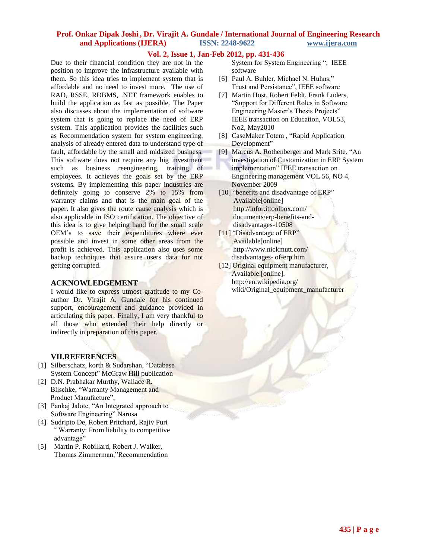### **Vol. 2, Issue 1, Jan-Feb 2012, pp. 431-436**

Due to their financial condition they are not in the position to improve the infrastructure available with them. So this idea tries to implement system that is affordable and no need to invest more. The use of RAD, RSSE, RDBMS, .NET framework enables to build the application as fast as possible. The Paper also discusses about the implementation of software system that is going to replace the need of ERP system. This application provides the facilities such as Recommendation system for system engineering, analysis of already entered data to understand type of fault, affordable by the small and midsized business. This software does not require any big investment such as business reengineering, training of employees. It achieves the goals set by the ERP systems. By implementing this paper industries are definitely going to conserve 2% to 15% from warranty claims and that is the main goal of the paper. It also gives the route cause analysis which is also applicable in ISO certification. The objective of this idea is to give helping hand for the small scale OEM's to save their expenditures where ever possible and invest in some other areas from the profit is achieved. This application also uses some backup techniques that assure users data for not getting corrupted.

## **ACKNOWLEDGEMENT**

I would like to express utmost gratitude to my Coauthor Dr. Virajit A. Gundale for his continued support, encouragement and guidance provided in articulating this paper. Finally, I am very thankful to all those who extended their help directly or indirectly in preparation of this paper.

# **VII.REFERENCES**

- [1] Silberschatz, korth & Sudarshan, "Database System Concept" McGraw Hill publication
- [2] D.N. Prabhakar Murthy, Wallace R. Blischke, "Warranty Management and Product Manufacture",
- [3] Pankaj Jalote, "An Integrated approach to Software Engineering" Narosa
- [4] Sudripto De, Robert Pritchard, Rajiv Puri " Warranty: From liability to competitive advantage"
- [5] Martin P. Robillard, Robert J. Walker, Thomas Zimmerman,"Recommendation

 System for System Engineering ", IEEE software

- [6] Paul A. Buhler, Michael N. Huhns," Trust and Persistance", IEEE software
- [7] Martin Host, Robert Feldt, Frank Luders, "Support for Different Roles in Software Engineering Master's Thesis Projects" IEEE transaction on Education, VOL53, No2, May2010
- [8] CaseMaker Totem , "Rapid Application Development"
- [9] Marcus A. Rothenberger and Mark Srite, "An investigation of Customization in ERP System implementation" IEEE transaction on Engineering management VOL 56, NO 4, November 2009
- [10] "benefits and disadvantage of ERP" Available[online] <http://infor.ittoolbox.com/> documents/erp-benefits-and disadvantages-10508
- [11] "Disadvantage of ERP" Available[online] http://www.nickmutt.com/ disadvantages- of-erp.htm
- [12] Original equipment manufacturer, Available.[online]. http://en.wikipedia.org/ wiki/Original\_equipment\_manufacturer